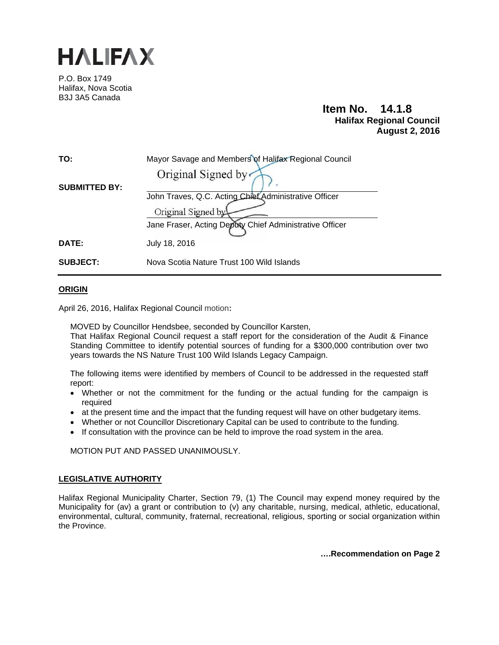

P.O. Box 1749 Halifax, Nova Scotia B3J 3A5 Canada

# **Item No. 14.1.8 Halifax Regional Council August 2, 2016**

| TO:                  | Mayor Savage and Members of Halifax Regional Council    |
|----------------------|---------------------------------------------------------|
|                      | Original Signed by                                      |
| <b>SUBMITTED BY:</b> |                                                         |
|                      | John Traves, Q.C. Acting Chief Administrative Officer   |
|                      | Original Signed by                                      |
|                      | Jane Fraser, Acting Deputy Chief Administrative Officer |
| DATE:                | July 18, 2016                                           |
| <b>SUBJECT:</b>      | Nova Scotia Nature Trust 100 Wild Islands               |

## **ORIGIN**

April 26, 2016, Halifax Regional Council motion**:** 

MOVED by Councillor Hendsbee, seconded by Councillor Karsten,

That Halifax Regional Council request a staff report for the consideration of the Audit & Finance Standing Committee to identify potential sources of funding for a \$300,000 contribution over two years towards the NS Nature Trust 100 Wild Islands Legacy Campaign.

The following items were identified by members of Council to be addressed in the requested staff report:

- Whether or not the commitment for the funding or the actual funding for the campaign is required
- at the present time and the impact that the funding request will have on other budgetary items.
- Whether or not Councillor Discretionary Capital can be used to contribute to the funding.
- If consultation with the province can be held to improve the road system in the area.

MOTION PUT AND PASSED UNANIMOUSLY.

# **LEGISLATIVE AUTHORITY**

Halifax Regional Municipality Charter, Section 79, (1) The Council may expend money required by the Municipality for (av) a grant or contribution to (v) any charitable, nursing, medical, athletic, educational, environmental, cultural, community, fraternal, recreational, religious, sporting or social organization within the Province.

**….Recommendation on Page 2**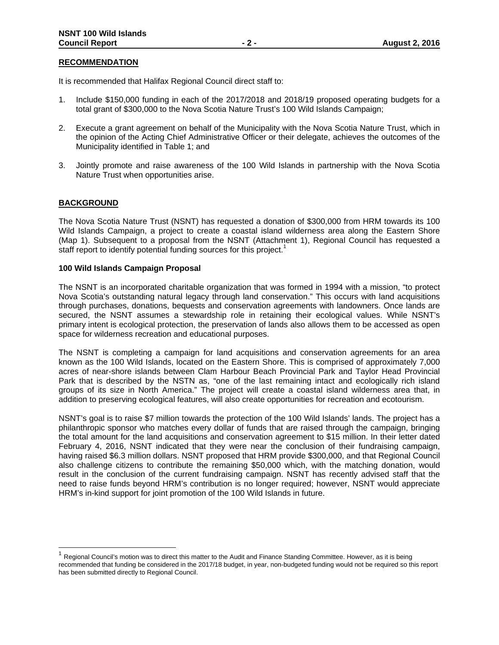## **RECOMMENDATION**

It is recommended that Halifax Regional Council direct staff to:

- 1. Include \$150,000 funding in each of the 2017/2018 and 2018/19 proposed operating budgets for a total grant of \$300,000 to the Nova Scotia Nature Trust's 100 Wild Islands Campaign;
- 2. Execute a grant agreement on behalf of the Municipality with the Nova Scotia Nature Trust, which in the opinion of the Acting Chief Administrative Officer or their delegate, achieves the outcomes of the Municipality identified in Table 1; and
- 3. Jointly promote and raise awareness of the 100 Wild Islands in partnership with the Nova Scotia Nature Trust when opportunities arise.

## **BACKGROUND**

The Nova Scotia Nature Trust (NSNT) has requested a donation of \$300,000 from HRM towards its 100 Wild Islands Campaign, a project to create a coastal island wilderness area along the Eastern Shore (Map 1). Subsequent to a proposal from the NSNT (Attachment 1), Regional Council has requested a staff report to identify potential funding sources for this project.<sup>1</sup>

#### **100 Wild Islands Campaign Proposal**

The NSNT is an incorporated charitable organization that was formed in 1994 with a mission, "to protect Nova Scotia's outstanding natural legacy through land conservation." This occurs with land acquisitions through purchases, donations, bequests and conservation agreements with landowners. Once lands are secured, the NSNT assumes a stewardship role in retaining their ecological values. While NSNT's primary intent is ecological protection, the preservation of lands also allows them to be accessed as open space for wilderness recreation and educational purposes.

The NSNT is completing a campaign for land acquisitions and conservation agreements for an area known as the 100 Wild Islands, located on the Eastern Shore. This is comprised of approximately 7,000 acres of near-shore islands between Clam Harbour Beach Provincial Park and Taylor Head Provincial Park that is described by the NSTN as, "one of the last remaining intact and ecologically rich island groups of its size in North America." The project will create a coastal island wilderness area that, in addition to preserving ecological features, will also create opportunities for recreation and ecotourism.

NSNT's goal is to raise \$7 million towards the protection of the 100 Wild Islands' lands. The project has a philanthropic sponsor who matches every dollar of funds that are raised through the campaign, bringing the total amount for the land acquisitions and conservation agreement to \$15 million. In their letter dated February 4, 2016, NSNT indicated that they were near the conclusion of their fundraising campaign, having raised \$6.3 million dollars. NSNT proposed that HRM provide \$300,000, and that Regional Council also challenge citizens to contribute the remaining \$50,000 which, with the matching donation, would result in the conclusion of the current fundraising campaign. NSNT has recently advised staff that the need to raise funds beyond HRM's contribution is no longer required; however, NSNT would appreciate HRM's in-kind support for joint promotion of the 100 Wild Islands in future.

Regional Council's motion was to direct this matter to the Audit and Finance Standing Committee. However, as it is being recommended that funding be considered in the 2017/18 budget, in year, non-budgeted funding would not be required so this report has been submitted directly to Regional Council.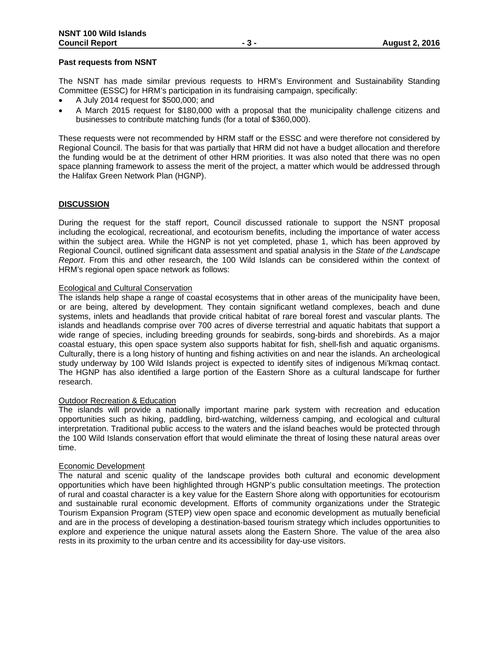## **Past requests from NSNT**

The NSNT has made similar previous requests to HRM's Environment and Sustainability Standing Committee (ESSC) for HRM's participation in its fundraising campaign, specifically:

- A July 2014 request for \$500,000; and
- A March 2015 request for \$180,000 with a proposal that the municipality challenge citizens and businesses to contribute matching funds (for a total of \$360,000).

These requests were not recommended by HRM staff or the ESSC and were therefore not considered by Regional Council. The basis for that was partially that HRM did not have a budget allocation and therefore the funding would be at the detriment of other HRM priorities. It was also noted that there was no open space planning framework to assess the merit of the project, a matter which would be addressed through the Halifax Green Network Plan (HGNP).

## **DISCUSSION**

During the request for the staff report, Council discussed rationale to support the NSNT proposal including the ecological, recreational, and ecotourism benefits, including the importance of water access within the subject area. While the HGNP is not yet completed, phase 1, which has been approved by Regional Council, outlined significant data assessment and spatial analysis in the *State of the Landscape Report*. From this and other research, the 100 Wild Islands can be considered within the context of HRM's regional open space network as follows:

## Ecological and Cultural Conservation

The islands help shape a range of coastal ecosystems that in other areas of the municipality have been, or are being, altered by development. They contain significant wetland complexes, beach and dune systems, inlets and headlands that provide critical habitat of rare boreal forest and vascular plants. The islands and headlands comprise over 700 acres of diverse terrestrial and aquatic habitats that support a wide range of species, including breeding grounds for seabirds, song-birds and shorebirds. As a major coastal estuary, this open space system also supports habitat for fish, shell-fish and aquatic organisms. Culturally, there is a long history of hunting and fishing activities on and near the islands. An archeological study underway by 100 Wild Islands project is expected to identify sites of indigenous Mi'kmaq contact. The HGNP has also identified a large portion of the Eastern Shore as a cultural landscape for further research.

## **Outdoor Recreation & Education**

The islands will provide a nationally important marine park system with recreation and education opportunities such as hiking, paddling, bird-watching, wilderness camping, and ecological and cultural interpretation. Traditional public access to the waters and the island beaches would be protected through the 100 Wild Islands conservation effort that would eliminate the threat of losing these natural areas over time.

## Economic Development

The natural and scenic quality of the landscape provides both cultural and economic development opportunities which have been highlighted through HGNP's public consultation meetings. The protection of rural and coastal character is a key value for the Eastern Shore along with opportunities for ecotourism and sustainable rural economic development. Efforts of community organizations under the Strategic Tourism Expansion Program (STEP) view open space and economic development as mutually beneficial and are in the process of developing a destination-based tourism strategy which includes opportunities to explore and experience the unique natural assets along the Eastern Shore. The value of the area also rests in its proximity to the urban centre and its accessibility for day-use visitors.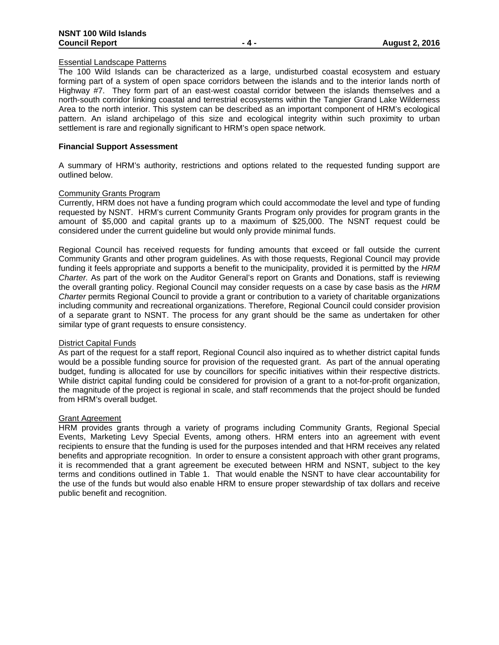## Essential Landscape Patterns

The 100 Wild Islands can be characterized as a large, undisturbed coastal ecosystem and estuary forming part of a system of open space corridors between the islands and to the interior lands north of Highway #7. They form part of an east-west coastal corridor between the islands themselves and a north-south corridor linking coastal and terrestrial ecosystems within the Tangier Grand Lake Wilderness Area to the north interior. This system can be described as an important component of HRM's ecological pattern. An island archipelago of this size and ecological integrity within such proximity to urban settlement is rare and regionally significant to HRM's open space network.

## **Financial Support Assessment**

A summary of HRM's authority, restrictions and options related to the requested funding support are outlined below.

## Community Grants Program

Currently, HRM does not have a funding program which could accommodate the level and type of funding requested by NSNT. HRM's current Community Grants Program only provides for program grants in the amount of \$5,000 and capital grants up to a maximum of \$25,000. The NSNT request could be considered under the current guideline but would only provide minimal funds.

Regional Council has received requests for funding amounts that exceed or fall outside the current Community Grants and other program guidelines. As with those requests, Regional Council may provide funding it feels appropriate and supports a benefit to the municipality, provided it is permitted by the *HRM Charter.* As part of the work on the Auditor General's report on Grants and Donations, staff is reviewing the overall granting policy. Regional Council may consider requests on a case by case basis as the *HRM Charter* permits Regional Council to provide a grant or contribution to a variety of charitable organizations including community and recreational organizations. Therefore, Regional Council could consider provision of a separate grant to NSNT. The process for any grant should be the same as undertaken for other similar type of grant requests to ensure consistency.

#### District Capital Funds

As part of the request for a staff report, Regional Council also inquired as to whether district capital funds would be a possible funding source for provision of the requested grant. As part of the annual operating budget, funding is allocated for use by councillors for specific initiatives within their respective districts. While district capital funding could be considered for provision of a grant to a not-for-profit organization, the magnitude of the project is regional in scale, and staff recommends that the project should be funded from HRM's overall budget.

## Grant Agreement

HRM provides grants through a variety of programs including Community Grants, Regional Special Events, Marketing Levy Special Events, among others. HRM enters into an agreement with event recipients to ensure that the funding is used for the purposes intended and that HRM receives any related benefits and appropriate recognition. In order to ensure a consistent approach with other grant programs, it is recommended that a grant agreement be executed between HRM and NSNT, subject to the key terms and conditions outlined in Table 1. That would enable the NSNT to have clear accountability for the use of the funds but would also enable HRM to ensure proper stewardship of tax dollars and receive public benefit and recognition.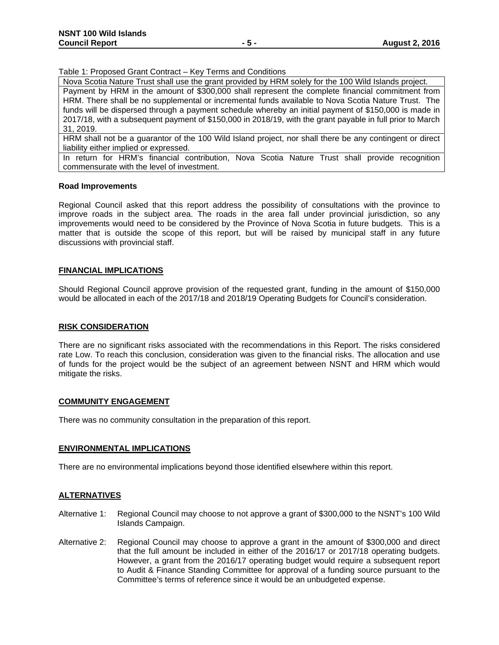Table 1: Proposed Grant Contract – Key Terms and Conditions

Nova Scotia Nature Trust shall use the grant provided by HRM solely for the 100 Wild Islands project. Payment by HRM in the amount of \$300,000 shall represent the complete financial commitment from HRM. There shall be no supplemental or incremental funds available to Nova Scotia Nature Trust. The funds will be dispersed through a payment schedule whereby an initial payment of \$150,000 is made in 2017/18, with a subsequent payment of \$150,000 in 2018/19, with the grant payable in full prior to March 31, 2019.

HRM shall not be a guarantor of the 100 Wild Island project, nor shall there be any contingent or direct liability either implied or expressed.

In return for HRM's financial contribution, Nova Scotia Nature Trust shall provide recognition commensurate with the level of investment.

## **Road Improvements**

Regional Council asked that this report address the possibility of consultations with the province to improve roads in the subject area. The roads in the area fall under provincial jurisdiction, so any improvements would need to be considered by the Province of Nova Scotia in future budgets. This is a matter that is outside the scope of this report, but will be raised by municipal staff in any future discussions with provincial staff.

## **FINANCIAL IMPLICATIONS**

Should Regional Council approve provision of the requested grant, funding in the amount of \$150,000 would be allocated in each of the 2017/18 and 2018/19 Operating Budgets for Council's consideration.

## **RISK CONSIDERATION**

There are no significant risks associated with the recommendations in this Report. The risks considered rate Low. To reach this conclusion, consideration was given to the financial risks. The allocation and use of funds for the project would be the subject of an agreement between NSNT and HRM which would mitigate the risks.

## **COMMUNITY ENGAGEMENT**

There was no community consultation in the preparation of this report.

#### **ENVIRONMENTAL IMPLICATIONS**

There are no environmental implications beyond those identified elsewhere within this report.

## **ALTERNATIVES**

- Alternative 1: Regional Council may choose to not approve a grant of \$300,000 to the NSNT's 100 Wild Islands Campaign.
- Alternative 2: Regional Council may choose to approve a grant in the amount of \$300,000 and direct that the full amount be included in either of the 2016/17 or 2017/18 operating budgets. However, a grant from the 2016/17 operating budget would require a subsequent report to Audit & Finance Standing Committee for approval of a funding source pursuant to the Committee's terms of reference since it would be an unbudgeted expense.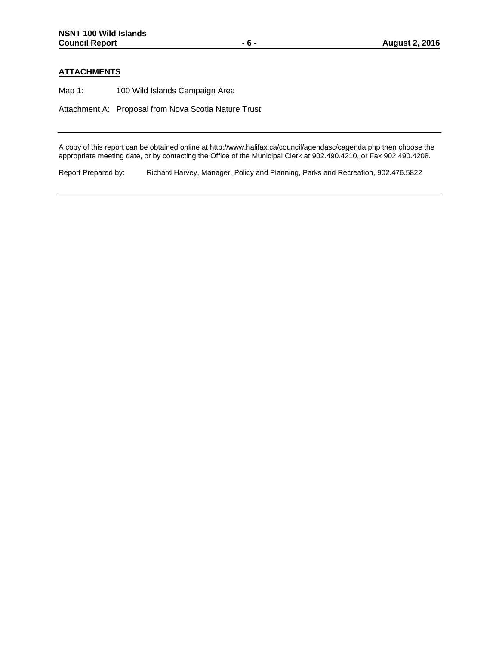# **ATTACHMENTS**

Map 1: 100 Wild Islands Campaign Area

Attachment A: Proposal from Nova Scotia Nature Trust

A copy of this report can be obtained online at http://www.halifax.ca/council/agendasc/cagenda.php then choose the appropriate meeting date, or by contacting the Office of the Municipal Clerk at 902.490.4210, or Fax 902.490.4208.

Report Prepared by: Richard Harvey, Manager, Policy and Planning, Parks and Recreation, 902.476.5822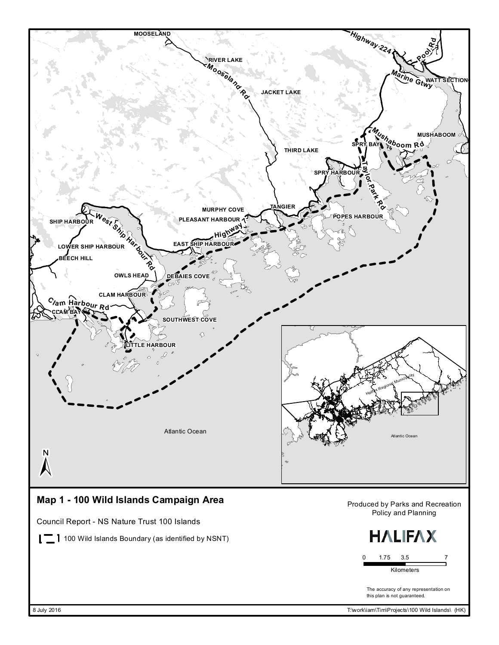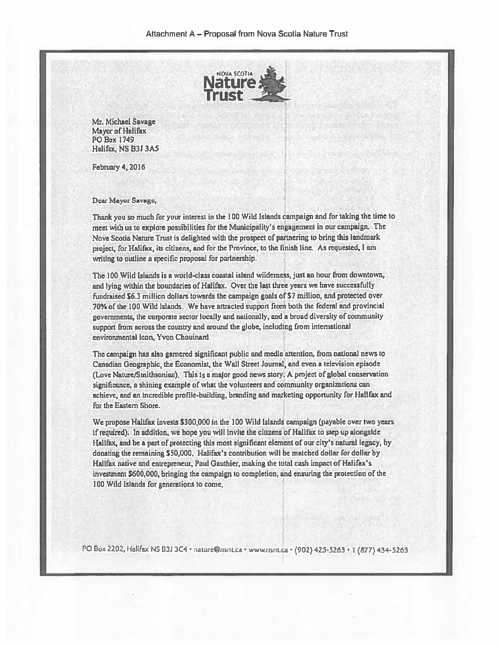

Mr. Michael Savage Mayor of Halifax PO Box 1749 Halifax, NS B3J 3A5

**February 4, 2016** 

#### Dear Mayor Savage,

Thank you so much for your interest in the 100 Wild Islands campaign and for taking the time to meet with us to explore possibilities for the Municipality's engagement in our campaign. The Nova Scotia Nature Trust is delighted with the prospect of partnering to bring this landmark project, for Halifax, its citizens, and for the Province, to the finish line. As requested, I am writing to outline a specific proposal for partnership.

The 100 Wild Islands is a world-class coastal island wilderness, just an hour from downtown, and lying within the boundaries of Halifax. Over the last three years we have successfully fundraised \$6.3 million dollars towards the campaign goals of \$7 million, and protected over 70% of the 100 Wild Islands. We have attracted support from both the federal and provincial governments, the corporate sector locally and nationally, and a broad diversity of community support from across the country and around the globe, including from international environmental icon. Yvon Chouinard

The campaign has also garnered significant public and media attention, from national news to Canadian Geographic, the Economist, the Wall Street Journal, and even a television episode (Love Nature/Smithsonian). This is a major good news story. A project of global conservation significance, a shining example of what the volunteers and community organizations can achieve, and an incredible profile-building, branding and marketing opportunity for Hallfax and for the Eastern Shore.

We propose Halifax invests \$300,000 in the 100 Wild Islands campaign (payable over two years if required). In addition, we hope you will lnvite the citizens of Halifax to step up alongside Hallfax, and be a part of protecting this most significant element of our city's natural legacy, by donating the remaining \$50,000. Halifax's contribution will be matched dollar for dollar by Hallfax native and entrepreneur, Paul Gauthier, making the total cash impact of Halifax's investment \$600,000, bringing the campaign to completion, and ensuring the protection of the 100 Wild Islands for generations to come,

PO Box 2202, Halifax NS B3J 3C4 · nature@nsnt.ca · www.nsnt.ca · (902) 425-5263 · 1 (877) 434-5263